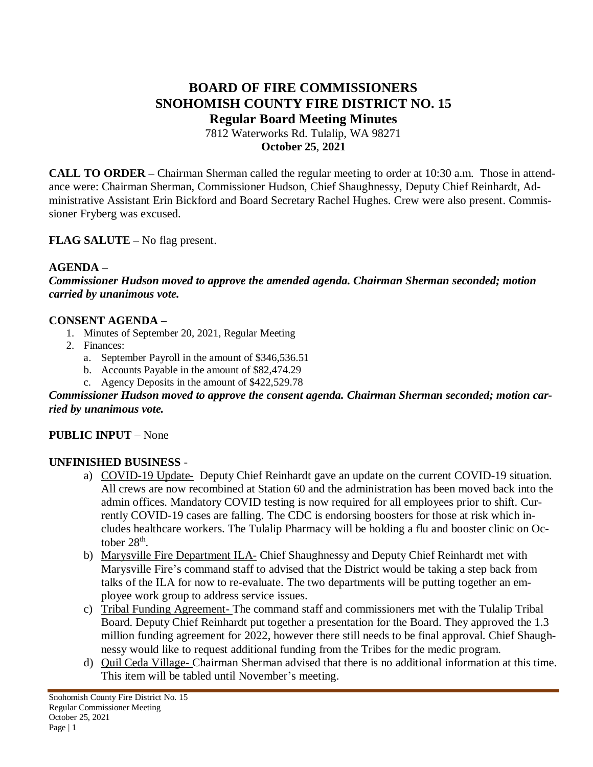# **BOARD OF FIRE COMMISSIONERS SNOHOMISH COUNTY FIRE DISTRICT NO. 15 Regular Board Meeting Minutes** 7812 Waterworks Rd. Tulalip, WA 98271

**October 25**, **2021**

**CALL TO ORDER –** Chairman Sherman called the regular meeting to order at 10:30 a.m. Those in attendance were: Chairman Sherman, Commissioner Hudson, Chief Shaughnessy, Deputy Chief Reinhardt, Administrative Assistant Erin Bickford and Board Secretary Rachel Hughes. Crew were also present. Commissioner Fryberg was excused.

**FLAG SALUTE –** No flag present.

## **AGENDA –**

*Commissioner Hudson moved to approve the amended agenda. Chairman Sherman seconded; motion carried by unanimous vote.*

### **CONSENT AGENDA –**

- 1. Minutes of September 20, 2021, Regular Meeting
- 2. Finances:
	- a. September Payroll in the amount of \$346,536.51
	- b. Accounts Payable in the amount of \$82,474.29
	- c. Agency Deposits in the amount of \$422,529.78

#### *Commissioner Hudson moved to approve the consent agenda. Chairman Sherman seconded; motion carried by unanimous vote.*

### **PUBLIC INPUT** – None

### **UNFINISHED BUSINESS** -

- a) COVID-19 Update- Deputy Chief Reinhardt gave an update on the current COVID-19 situation. All crews are now recombined at Station 60 and the administration has been moved back into the admin offices. Mandatory COVID testing is now required for all employees prior to shift. Currently COVID-19 cases are falling. The CDC is endorsing boosters for those at risk which includes healthcare workers. The Tulalip Pharmacy will be holding a flu and booster clinic on October  $28<sup>th</sup>$ .
- b) Marysville Fire Department ILA- Chief Shaughnessy and Deputy Chief Reinhardt met with Marysville Fire's command staff to advised that the District would be taking a step back from talks of the ILA for now to re-evaluate. The two departments will be putting together an employee work group to address service issues.
- c) Tribal Funding Agreement- The command staff and commissioners met with the Tulalip Tribal Board. Deputy Chief Reinhardt put together a presentation for the Board. They approved the 1.3 million funding agreement for 2022, however there still needs to be final approval. Chief Shaughnessy would like to request additional funding from the Tribes for the medic program.
- d) Quil Ceda Village- Chairman Sherman advised that there is no additional information at this time. This item will be tabled until November's meeting.